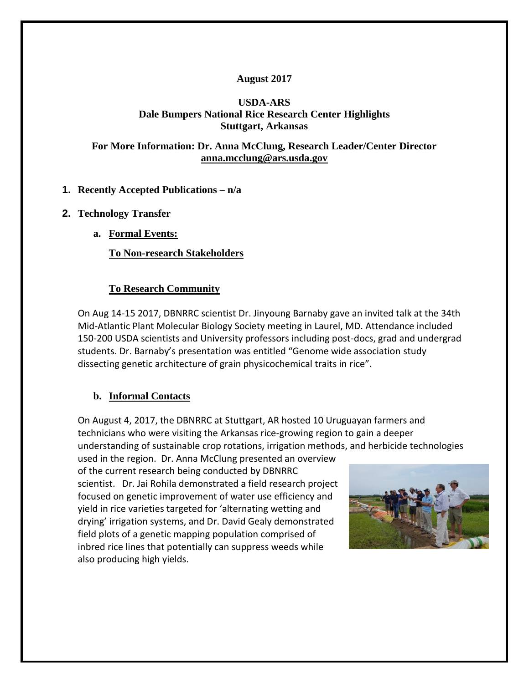# **August 2017**

### **USDA-ARS Dale Bumpers National Rice Research Center Highlights Stuttgart, Arkansas**

### **For More Information: Dr. Anna McClung, Research Leader/Center Director [anna.mcclung@ars.usda.gov](mailto:anna.mcclung@ars.usda.gov)**

# **1. Recently Accepted Publications – n/a**

- **2. Technology Transfer**
	- **a. Formal Events:**

**To Non-research Stakeholders**

### **To Research Community**

On Aug 14-15 2017, DBNRRC scientist Dr. Jinyoung Barnaby gave an invited talk at the 34th Mid-Atlantic Plant Molecular Biology Society meeting in Laurel, MD. Attendance included 150-200 USDA scientists and University professors including post-docs, grad and undergrad students. Dr. Barnaby's presentation was entitled "Genome wide association study dissecting genetic architecture of grain physicochemical traits in rice".

#### **b. Informal Contacts**

On August 4, 2017, the DBNRRC at Stuttgart, AR hosted 10 Uruguayan farmers and technicians who were visiting the Arkansas rice-growing region to gain a deeper understanding of sustainable crop rotations, irrigation methods, and herbicide technologies

used in the region. Dr. Anna McClung presented an overview of the current research being conducted by DBNRRC scientist. Dr. Jai Rohila demonstrated a field research project focused on genetic improvement of water use efficiency and yield in rice varieties targeted for 'alternating wetting and drying' irrigation systems, and Dr. David Gealy demonstrated field plots of a genetic mapping population comprised of inbred rice lines that potentially can suppress weeds while also producing high yields.

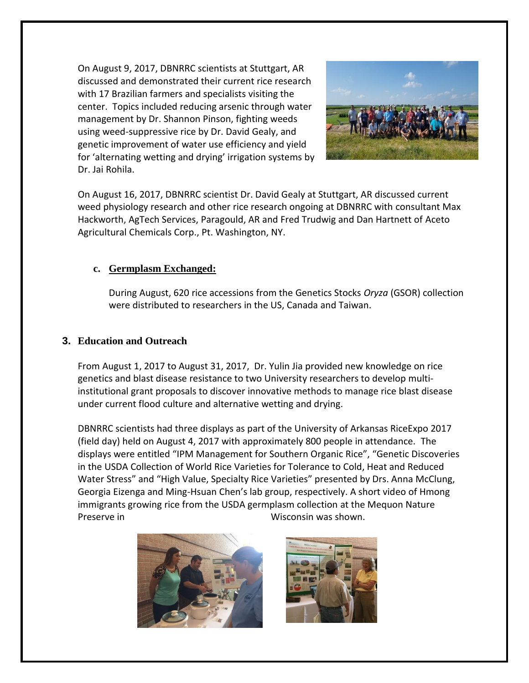On August 9, 2017, DBNRRC scientists at Stuttgart, AR discussed and demonstrated their current rice research with 17 Brazilian farmers and specialists visiting the center. Topics included reducing arsenic through water management by Dr. Shannon Pinson, fighting weeds using weed-suppressive rice by Dr. David Gealy, and genetic improvement of water use efficiency and yield for 'alternating wetting and drying' irrigation systems by Dr. Jai Rohila.



On August 16, 2017, DBNRRC scientist Dr. David Gealy at Stuttgart, AR discussed current weed physiology research and other rice research ongoing at DBNRRC with consultant Max Hackworth, AgTech Services, Paragould, AR and Fred Trudwig and Dan Hartnett of Aceto Agricultural Chemicals Corp., Pt. Washington, NY.

### **c. Germplasm Exchanged:**

During August, 620 rice accessions from the Genetics Stocks *Oryza* (GSOR) collection were distributed to researchers in the US, Canada and Taiwan.

#### **3. Education and Outreach**

From August 1, 2017 to August 31, 2017, Dr. Yulin Jia provided new knowledge on rice genetics and blast disease resistance to two University researchers to develop multiinstitutional grant proposals to discover innovative methods to manage rice blast disease under current flood culture and alternative wetting and drying.

DBNRRC scientists had three displays as part of the University of Arkansas RiceExpo 2017 (field day) held on August 4, 2017 with approximately 800 people in attendance. The displays were entitled "IPM Management for Southern Organic Rice", "Genetic Discoveries in the USDA Collection of World Rice Varieties for Tolerance to Cold, Heat and Reduced Water Stress" and "High Value, Specialty Rice Varieties" presented by Drs. Anna McClung, Georgia Eizenga and Ming-Hsuan Chen's lab group, respectively. A short video of Hmong immigrants growing rice from the USDA germplasm collection at the Mequon Nature Preserve in Wisconsin was shown.